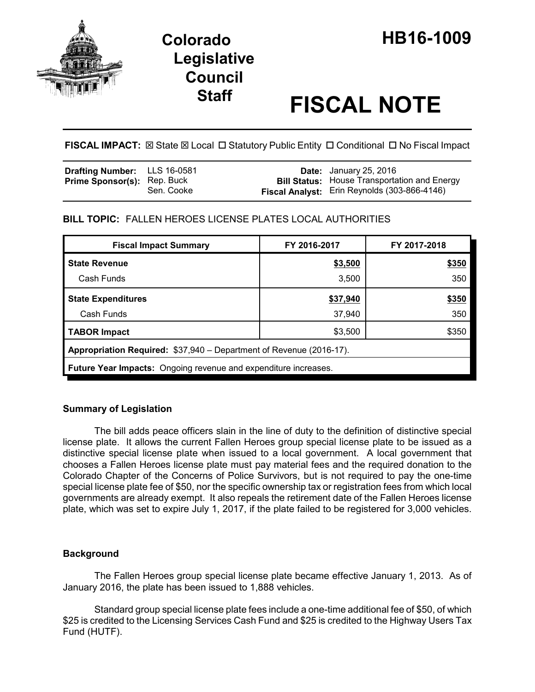

# **Staff FISCAL NOTE**

**FISCAL IMPACT:**  $\boxtimes$  State  $\boxtimes$  Local  $\Box$  Statutory Public Entity  $\Box$  Conditional  $\Box$  No Fiscal Impact

| <b>Drafting Number:</b> LLS 16-0581 |            | <b>Date:</b> January 25, 2016                                                                              |
|-------------------------------------|------------|------------------------------------------------------------------------------------------------------------|
| <b>Prime Sponsor(s): Rep. Buck</b>  | Sen. Cooke | <b>Bill Status:</b> House Transportation and Energy<br><b>Fiscal Analyst:</b> Erin Reynolds (303-866-4146) |

# **BILL TOPIC:** FALLEN HEROES LICENSE PLATES LOCAL AUTHORITIES

| <b>Fiscal Impact Summary</b>                                           | FY 2016-2017 | FY 2017-2018 |  |  |  |  |
|------------------------------------------------------------------------|--------------|--------------|--|--|--|--|
| <b>State Revenue</b>                                                   | \$3,500      | \$350        |  |  |  |  |
| Cash Funds                                                             | 3,500        | 350          |  |  |  |  |
| <b>State Expenditures</b>                                              | \$37,940     | \$350        |  |  |  |  |
| Cash Funds                                                             | 37,940       | 350          |  |  |  |  |
| <b>TABOR Impact</b>                                                    | \$3,500      | \$350        |  |  |  |  |
| Appropriation Required: \$37,940 - Department of Revenue (2016-17).    |              |              |  |  |  |  |
| <b>Future Year Impacts:</b> Ongoing revenue and expenditure increases. |              |              |  |  |  |  |

# **Summary of Legislation**

The bill adds peace officers slain in the line of duty to the definition of distinctive special license plate. It allows the current Fallen Heroes group special license plate to be issued as a distinctive special license plate when issued to a local government. A local government that chooses a Fallen Heroes license plate must pay material fees and the required donation to the Colorado Chapter of the Concerns of Police Survivors, but is not required to pay the one-time special license plate fee of \$50, nor the specific ownership tax or registration fees from which local governments are already exempt. It also repeals the retirement date of the Fallen Heroes license plate, which was set to expire July 1, 2017, if the plate failed to be registered for 3,000 vehicles.

# **Background**

The Fallen Heroes group special license plate became effective January 1, 2013. As of January 2016, the plate has been issued to 1,888 vehicles.

Standard group special license plate fees include a one-time additional fee of \$50, of which \$25 is credited to the Licensing Services Cash Fund and \$25 is credited to the Highway Users Tax Fund (HUTF).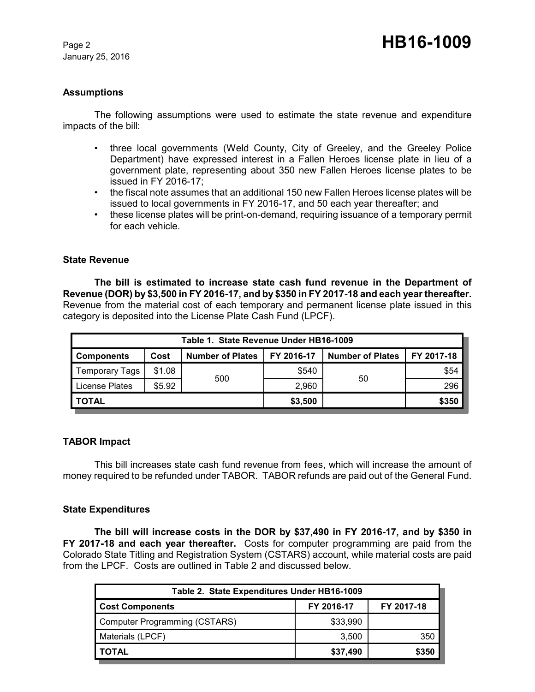January 25, 2016

## **Assumptions**

The following assumptions were used to estimate the state revenue and expenditure impacts of the bill:

- three local governments (Weld County, City of Greeley, and the Greeley Police Department) have expressed interest in a Fallen Heroes license plate in lieu of a government plate, representing about 350 new Fallen Heroes license plates to be issued in FY 2016-17;
- the fiscal note assumes that an additional 150 new Fallen Heroes license plates will be issued to local governments in FY 2016-17, and 50 each year thereafter; and
- these license plates will be print-on-demand, requiring issuance of a temporary permit for each vehicle.

### **State Revenue**

**The bill is estimated to increase state cash fund revenue in the Department of Revenue (DOR) by \$3,500 in FY 2016-17, and by \$350 in FY 2017-18 and each year thereafter.**  Revenue from the material cost of each temporary and permanent license plate issued in this category is deposited into the License Plate Cash Fund (LPCF).

| Table 1. State Revenue Under HB16-1009 |        |                         |            |                         |            |  |  |  |
|----------------------------------------|--------|-------------------------|------------|-------------------------|------------|--|--|--|
| <b>Components</b>                      | Cost   | <b>Number of Plates</b> | FY 2016-17 | <b>Number of Plates</b> | FY 2017-18 |  |  |  |
| <b>Temporary Tags</b>                  | \$1.08 | 500                     | \$540      | 50                      | \$54       |  |  |  |
| License Plates                         | \$5.92 |                         | 2,960      |                         | 296        |  |  |  |
| I TOTAL                                |        | \$3,500                 |            | \$350                   |            |  |  |  |

### **TABOR Impact**

This bill increases state cash fund revenue from fees, which will increase the amount of money required to be refunded under TABOR. TABOR refunds are paid out of the General Fund.

### **State Expenditures**

**The bill will increase costs in the DOR by \$37,490 in FY 2016-17, and by \$350 in FY 2017-18 and each year thereafter.** Costs for computer programming are paid from the Colorado State Titling and Registration System (CSTARS) account, while material costs are paid from the LPCF. Costs are outlined in Table 2 and discussed below.

| Table 2. State Expenditures Under HB16-1009 |            |            |  |  |  |  |
|---------------------------------------------|------------|------------|--|--|--|--|
| <b>Cost Components</b>                      | FY 2016-17 | FY 2017-18 |  |  |  |  |
| Computer Programming (CSTARS)               | \$33,990   |            |  |  |  |  |
| Materials (LPCF)                            | 3.500      | 350        |  |  |  |  |
| <b>TOTAL</b>                                | \$37,490   | \$350      |  |  |  |  |